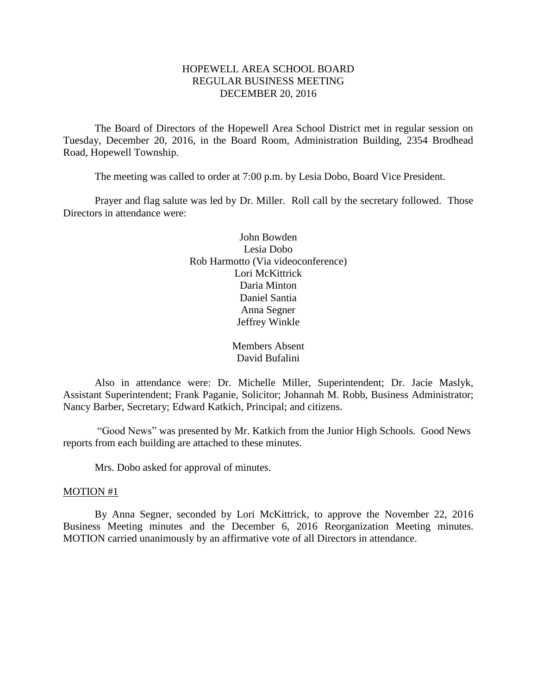# HOPEWELL AREA SCHOOL BOARD REGULAR BUSINESS MEETING DECEMBER 20, 2016

The Board of Directors of the Hopewell Area School District met in regular session on Tuesday, December 20, 2016, in the Board Room, Administration Building, 2354 Brodhead Road, Hopewell Township.

The meeting was called to order at 7:00 p.m. by Lesia Dobo, Board Vice President.

Prayer and flag salute was led by Dr. Miller. Roll call by the secretary followed. Those Directors in attendance were:

> John Bowden Lesia Dobo Rob Harmotto (Via videoconference) Lori McKittrick Daria Minton Daniel Santia Anna Segner Jeffrey Winkle

> > Members Absent David Bufalini

Also in attendance were: Dr. Michelle Miller, Superintendent; Dr. Jacie Maslyk, Assistant Superintendent; Frank Paganie, Solicitor; Johannah M. Robb, Business Administrator; Nancy Barber, Secretary; Edward Katkich, Principal; and citizens.

"Good News" was presented by Mr. Katkich from the Junior High Schools. Good News reports from each building are attached to these minutes.

Mrs. Dobo asked for approval of minutes.

### MOTION #1

By Anna Segner, seconded by Lori McKittrick, to approve the November 22, 2016 Business Meeting minutes and the December 6, 2016 Reorganization Meeting minutes. MOTION carried unanimously by an affirmative vote of all Directors in attendance.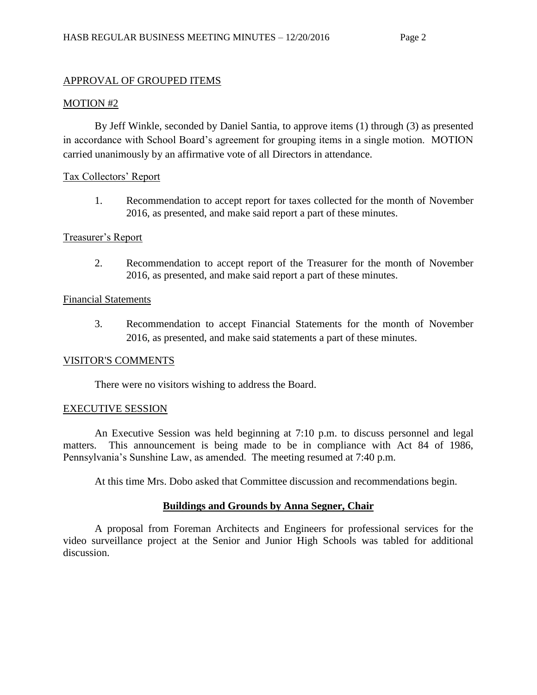## APPROVAL OF GROUPED ITEMS

#### MOTION #2

By Jeff Winkle, seconded by Daniel Santia, to approve items (1) through (3) as presented in accordance with School Board's agreement for grouping items in a single motion. MOTION carried unanimously by an affirmative vote of all Directors in attendance.

### Tax Collectors' Report

1. Recommendation to accept report for taxes collected for the month of November 2016, as presented, and make said report a part of these minutes.

### Treasurer's Report

2. Recommendation to accept report of the Treasurer for the month of November 2016, as presented, and make said report a part of these minutes.

### Financial Statements

3. Recommendation to accept Financial Statements for the month of November 2016, as presented, and make said statements a part of these minutes.

### VISITOR'S COMMENTS

There were no visitors wishing to address the Board.

### EXECUTIVE SESSION

An Executive Session was held beginning at 7:10 p.m. to discuss personnel and legal matters. This announcement is being made to be in compliance with Act 84 of 1986, Pennsylvania's Sunshine Law, as amended. The meeting resumed at 7:40 p.m.

At this time Mrs. Dobo asked that Committee discussion and recommendations begin.

### **Buildings and Grounds by Anna Segner, Chair**

A proposal from Foreman Architects and Engineers for professional services for the video surveillance project at the Senior and Junior High Schools was tabled for additional discussion.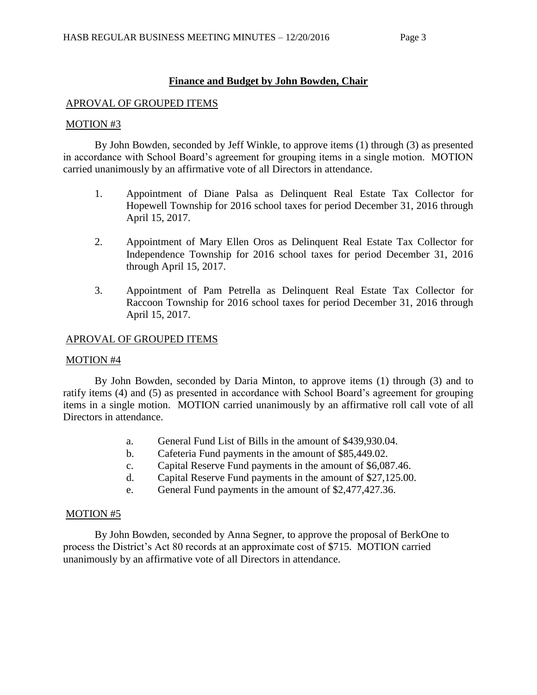# **Finance and Budget by John Bowden, Chair**

## APROVAL OF GROUPED ITEMS

### MOTION #3

By John Bowden, seconded by Jeff Winkle, to approve items (1) through (3) as presented in accordance with School Board's agreement for grouping items in a single motion. MOTION carried unanimously by an affirmative vote of all Directors in attendance.

- 1. Appointment of Diane Palsa as Delinquent Real Estate Tax Collector for Hopewell Township for 2016 school taxes for period December 31, 2016 through April 15, 2017.
- 2. Appointment of Mary Ellen Oros as Delinquent Real Estate Tax Collector for Independence Township for 2016 school taxes for period December 31, 2016 through April 15, 2017.
- 3. Appointment of Pam Petrella as Delinquent Real Estate Tax Collector for Raccoon Township for 2016 school taxes for period December 31, 2016 through April 15, 2017.

### APROVAL OF GROUPED ITEMS

### MOTION #4

By John Bowden, seconded by Daria Minton, to approve items (1) through (3) and to ratify items (4) and (5) as presented in accordance with School Board's agreement for grouping items in a single motion. MOTION carried unanimously by an affirmative roll call vote of all Directors in attendance.

- a. General Fund List of Bills in the amount of \$439,930.04.
- b. Cafeteria Fund payments in the amount of \$85,449.02.
- c. Capital Reserve Fund payments in the amount of \$6,087.46.
- d. Capital Reserve Fund payments in the amount of \$27,125.00.
- e. General Fund payments in the amount of \$2,477,427.36.

### MOTION #5

By John Bowden, seconded by Anna Segner, to approve the proposal of BerkOne to process the District's Act 80 records at an approximate cost of \$715. MOTION carried unanimously by an affirmative vote of all Directors in attendance.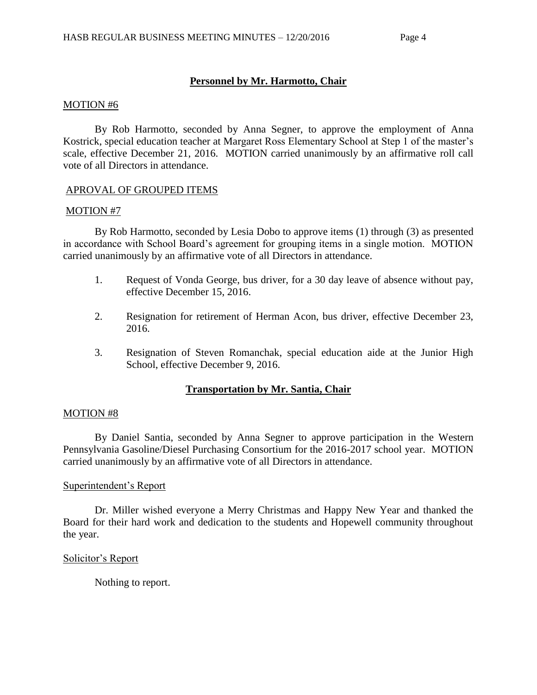# **Personnel by Mr. Harmotto, Chair**

### MOTION #6

By Rob Harmotto, seconded by Anna Segner, to approve the employment of Anna Kostrick, special education teacher at Margaret Ross Elementary School at Step 1 of the master's scale, effective December 21, 2016. MOTION carried unanimously by an affirmative roll call vote of all Directors in attendance.

### APROVAL OF GROUPED ITEMS

### MOTION #7

By Rob Harmotto, seconded by Lesia Dobo to approve items (1) through (3) as presented in accordance with School Board's agreement for grouping items in a single motion. MOTION carried unanimously by an affirmative vote of all Directors in attendance.

- 1. Request of Vonda George, bus driver, for a 30 day leave of absence without pay, effective December 15, 2016.
- 2. Resignation for retirement of Herman Acon, bus driver, effective December 23, 2016.
- 3. Resignation of Steven Romanchak, special education aide at the Junior High School, effective December 9, 2016.

# **Transportation by Mr. Santia, Chair**

### MOTION #8

By Daniel Santia, seconded by Anna Segner to approve participation in the Western Pennsylvania Gasoline/Diesel Purchasing Consortium for the 2016-2017 school year. MOTION carried unanimously by an affirmative vote of all Directors in attendance.

### Superintendent's Report

Dr. Miller wished everyone a Merry Christmas and Happy New Year and thanked the Board for their hard work and dedication to the students and Hopewell community throughout the year.

## Solicitor's Report

Nothing to report.